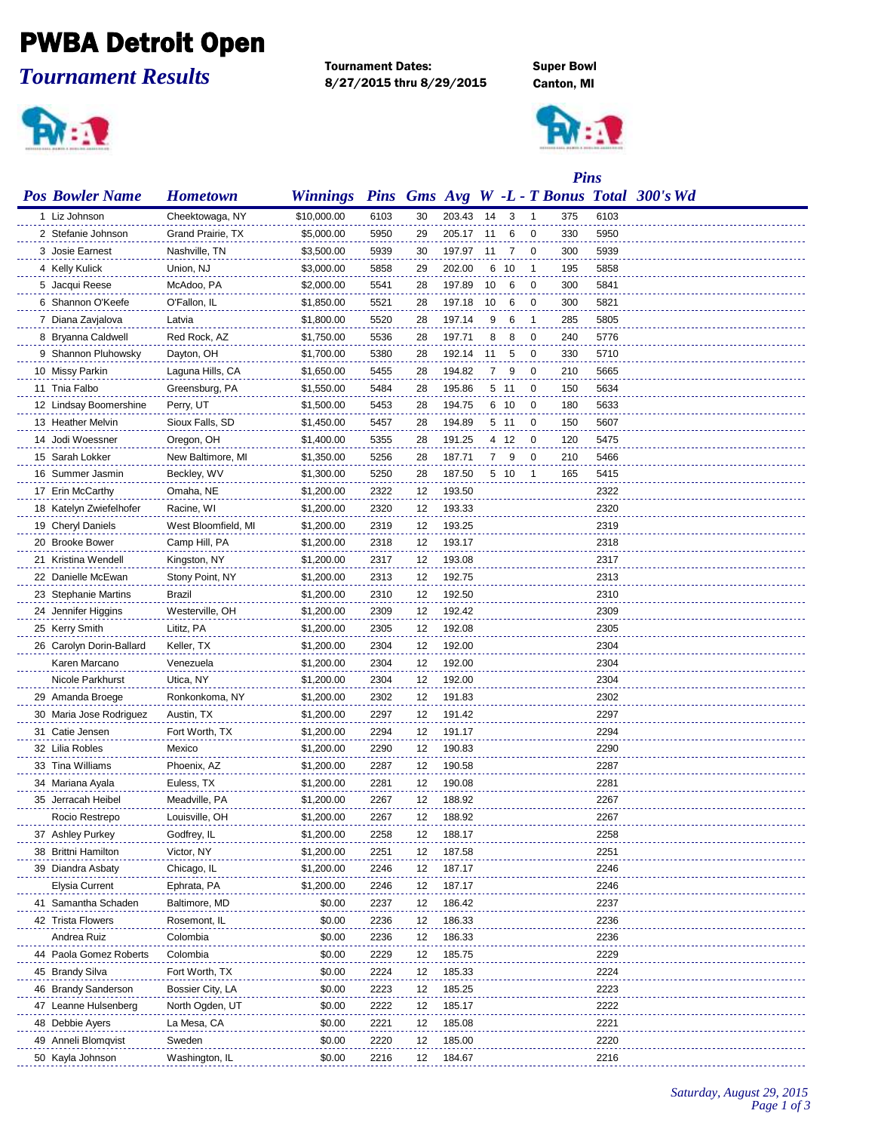## PWBA Detroit Open

*Tournament Results*



Tournament Dates: Super Bowl 8/27/2015 thru 8/29/2015 Canton, MI



|                          |                     |                 |      |    | <b>Pins</b> |    |      |    |     |      |                                            |
|--------------------------|---------------------|-----------------|------|----|-------------|----|------|----|-----|------|--------------------------------------------|
| <b>Pos Bowler Name</b>   | <b>Hometown</b>     | <b>Winnings</b> |      |    |             |    |      |    |     |      | Pins Gms Avg W -L - T Bonus Total 300's Wd |
| 1 Liz Johnson            | Cheektowaga, NY     | \$10,000.00     | 6103 | 30 | 203.43      | 14 | 3    | -1 | 375 | 6103 |                                            |
| 2 Stefanie Johnson       | Grand Prairie, TX   | \$5,000.00      | 5950 | 29 | 205.17      | 11 | 6    | 0  | 330 | 5950 |                                            |
| 3 Josie Earnest          | Nashville, TN       | \$3,500.00      | 5939 | 30 | 197.97      | 11 | 7    | 0  | 300 | 5939 |                                            |
| 4 Kelly Kulick           | Union, NJ           | \$3,000.00      | 5858 | 29 | 202.00      | 6  | -10  | -1 | 195 | 5858 |                                            |
| 5 Jacqui Reese           | McAdoo, PA          | \$2,000.00      | 5541 | 28 | 197.89      | 10 | 6    | 0  | 300 | 5841 |                                            |
| 6 Shannon O'Keefe        | O'Fallon, IL        | \$1,850.00      | 5521 | 28 | 197.18      | 10 | 6    | 0  | 300 | 5821 |                                            |
| 7 Diana Zavjalova        | Latvia              | \$1,800.00      | 5520 | 28 | 197.14      | 9  | 6    | -1 | 285 | 5805 |                                            |
| 8 Bryanna Caldwell       | Red Rock, AZ        | \$1,750.00      | 5536 | 28 | 197.71      | 8  | 8    | 0  | 240 | 5776 |                                            |
| 9 Shannon Pluhowsky      | Dayton, OH          | \$1,700.00      | 5380 | 28 | 192.14      | 11 | 5    | 0  | 330 | 5710 |                                            |
| 10 Missy Parkin          | Laguna Hills, CA    | \$1,650.00      | 5455 | 28 | 194.82      | 7  | 9    | 0  | 210 | 5665 |                                            |
| 11 Tnia Falbo            | Greensburg, PA      | \$1,550.00      | 5484 | 28 | 195.86      |    | 5 11 | 0  | 150 | 5634 |                                            |
| 12 Lindsay Boomershine   | Perry, UT           | \$1,500.00      | 5453 | 28 | 194.75      |    | 6 10 | 0  | 180 | 5633 |                                            |
| 13 Heather Melvin        | Sioux Falls, SD     | \$1,450.00      | 5457 | 28 | 194.89      |    | 5 11 | 0  | 150 | 5607 |                                            |
| 14 Jodi Woessner         | Oregon, OH          | \$1,400.00      | 5355 | 28 | 191.25      |    | 4 12 | 0  | 120 | 5475 |                                            |
| 15 Sarah Lokker          | New Baltimore, MI   | \$1,350.00      | 5256 | 28 | 187.71      | 7  | 9    | 0  | 210 | 5466 |                                            |
| 16 Summer Jasmin         | Beckley, WV         | \$1,300.00      | 5250 | 28 | 187.50      |    | 5 10 | -1 | 165 | 5415 |                                            |
| 17 Erin McCarthy         | Omaha, NE           | \$1,200.00      | 2322 | 12 | 193.50      |    |      |    |     | 2322 |                                            |
| 18 Katelyn Zwiefelhofer  | Racine, WI          | \$1,200.00      | 2320 | 12 | 193.33      |    |      |    |     | 2320 |                                            |
| 19 Cheryl Daniels        | West Bloomfield, MI | \$1,200.00      | 2319 | 12 | 193.25      |    |      |    |     | 2319 |                                            |
| 20 Brooke Bower          | Camp Hill, PA       | \$1,200.00      | 2318 | 12 | 193.17      |    |      |    |     | 2318 |                                            |
| 21 Kristina Wendell      | Kingston, NY        | \$1,200.00      | 2317 | 12 | 193.08      |    |      |    |     | 2317 |                                            |
| 22 Danielle McEwan       | Stony Point, NY     | \$1,200.00      | 2313 | 12 | 192.75      |    |      |    |     | 2313 |                                            |
| 23 Stephanie Martins     | Brazil              | \$1,200.00      | 2310 | 12 | 192.50      |    |      |    |     | 2310 |                                            |
| 24 Jennifer Higgins      | Westerville, OH     | \$1,200.00      | 2309 | 12 | 192.42      |    |      |    |     | 2309 |                                            |
| 25 Kerry Smith           | Lititz, PA          | \$1,200.00      | 2305 | 12 | 192.08      |    |      |    |     | 2305 |                                            |
| 26 Carolyn Dorin-Ballard | Keller, TX          | \$1,200.00      | 2304 | 12 | 192.00      |    |      |    |     | 2304 |                                            |
| Karen Marcano            | Venezuela           | \$1,200.00      | 2304 | 12 | 192.00      |    |      |    |     | 2304 |                                            |
| Nicole Parkhurst         | Utica, NY           | \$1,200.00      | 2304 | 12 | 192.00      |    |      |    |     | 2304 |                                            |
| 29 Amanda Broege         | Ronkonkoma, NY      | \$1,200.00      | 2302 | 12 | 191.83      |    |      |    |     | 2302 |                                            |
| 30 Maria Jose Rodriguez  | Austin, TX          | \$1,200.00      | 2297 | 12 | 191.42      |    |      |    |     | 2297 |                                            |
| 31 Catie Jensen          | Fort Worth, TX      | \$1,200.00      | 2294 | 12 | 191.17      |    |      |    |     | 2294 |                                            |
| 32 Lilia Robles          | Mexico              | \$1,200.00      | 2290 | 12 | 190.83      |    |      |    |     | 2290 |                                            |
| 33 Tina Williams         | Phoenix, AZ         | \$1,200.00      | 2287 | 12 | 190.58      |    |      |    |     | 2287 |                                            |
| 34 Mariana Ayala         | Euless, TX          | \$1,200.00      | 2281 | 12 | 190.08      |    |      |    |     | 2281 |                                            |
| 35 Jerracah Heibel       | Meadville, PA       | \$1,200.00      | 2267 | 12 | 188.92      |    |      |    |     | 2267 |                                            |
| Rocio Restrepo           | Louisville, OH      | \$1,200.00      | 2267 | 12 | 188.92      |    |      |    |     | 2267 |                                            |
| 37 Ashley Purkey         | Godfrey, IL         | \$1,200.00      | 2258 | 12 | 188.17      |    |      |    |     | 2258 |                                            |
| 38 Brittni Hamilton      | Victor, NY          | \$1,200.00      | 2251 | 12 | 187.58      |    |      |    |     | 2251 |                                            |
| 39 Diandra Asbaty        | Chicago, IL         | \$1,200.00      | 2246 | 12 | 187.17      |    |      |    |     | 2246 |                                            |
| Elysia Current           | Ephrata, PA         | \$1,200.00      | 2246 | 12 | 187.17      |    |      |    |     | 2246 |                                            |
| 41 Samantha Schaden      | Baltimore, MD       | \$0.00          | 2237 | 12 | 186.42      |    |      |    |     | 2237 |                                            |
| 42 Trista Flowers        | Rosemont, IL        | \$0.00          | 2236 | 12 | 186.33      |    |      |    |     | 2236 |                                            |
| Andrea Ruiz              | Colombia            | \$0.00          | 2236 | 12 | 186.33      |    |      |    |     | 2236 |                                            |
| 44 Paola Gomez Roberts   | Colombia            | \$0.00          | 2229 | 12 | 185.75      |    |      |    |     | 2229 |                                            |
| 45 Brandy Silva          | Fort Worth, TX      | \$0.00          | 2224 | 12 | 185.33      |    |      |    |     | 2224 |                                            |
| 46 Brandy Sanderson      | Bossier City, LA    | \$0.00          | 2223 | 12 | 185.25      |    |      |    |     | 2223 |                                            |
| 47 Leanne Hulsenberg     | North Ogden, UT     | \$0.00          | 2222 | 12 | 185.17      |    |      |    |     | 2222 |                                            |
| 48 Debbie Ayers          | La Mesa, CA         | \$0.00          | 2221 | 12 | 185.08      |    |      |    |     | 2221 |                                            |
| 49 Anneli Blomqvist      | Sweden              | \$0.00          | 2220 | 12 | 185.00      |    |      |    |     | 2220 |                                            |
| 50 Kayla Johnson         | Washington, IL      | \$0.00          | 2216 | 12 | 184.67      |    |      |    |     | 2216 |                                            |
|                          |                     |                 |      |    |             |    |      |    |     |      |                                            |

*Saturday, August 29, 2015 Page 1 of 3*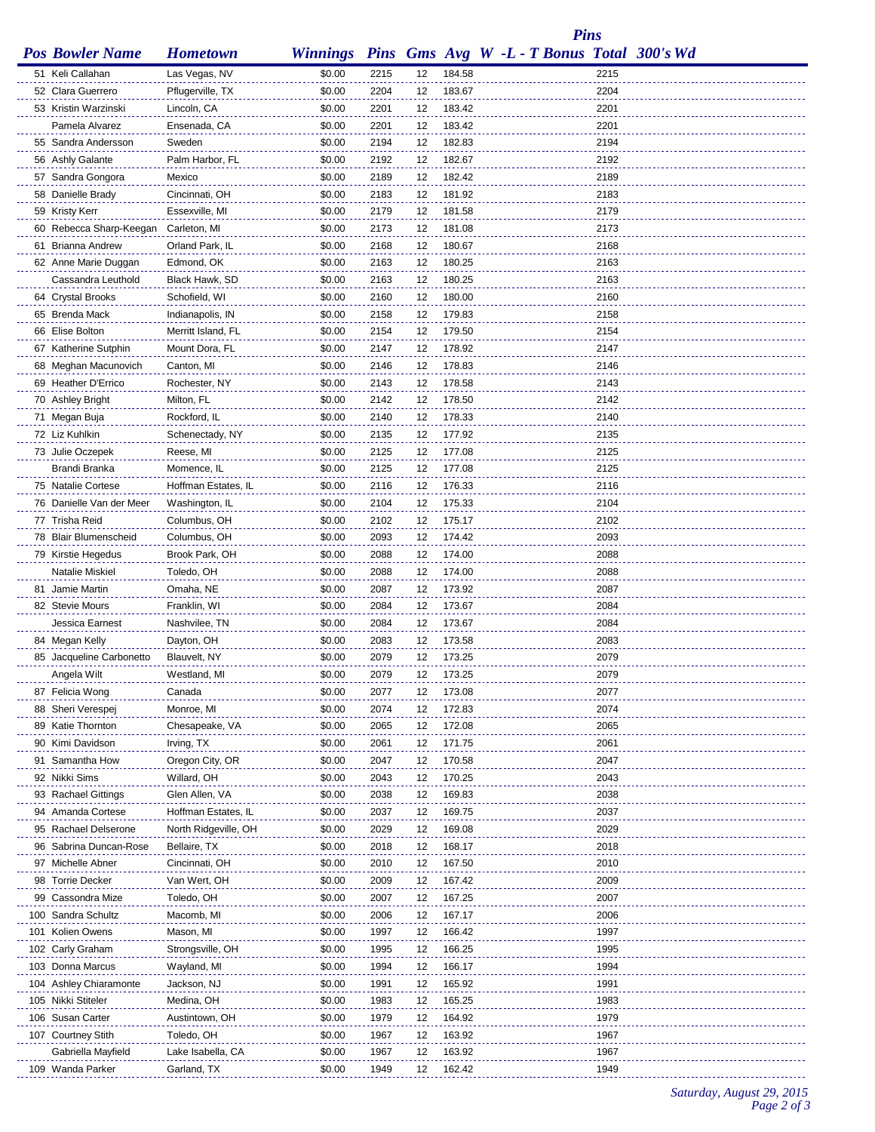*Pins*

| <b>Pos Bowler Name</b>                 | <b>Hometown</b>              | <b>Winnings</b>  |              |          |                  | Pins Gms Avg W -L - T Bonus Total 300's Wd |              |  |
|----------------------------------------|------------------------------|------------------|--------------|----------|------------------|--------------------------------------------|--------------|--|
| 51 Keli Callahan                       | Las Vegas, NV                | \$0.00           | 2215         | 12       | 184.58           |                                            | 2215         |  |
| 52 Clara Guerrero                      | Pflugerville, TX             | \$0.00           | 2204         | 12       | 183.67           |                                            | 2204         |  |
| 53 Kristin Warzinski                   | Lincoln, CA                  | \$0.00           | 2201         | 12       | 183.42           |                                            | 2201         |  |
| Pamela Alvarez                         | Ensenada, CA                 | \$0.00           | 2201         | 12       | 183.42           |                                            | 2201         |  |
| 55 Sandra Andersson                    | Sweden                       | \$0.00           | 2194         | 12       | 182.83           |                                            | 2194         |  |
| 56 Ashly Galante                       | Palm Harbor, FL              | \$0.00           | 2192         | 12       | 182.67           |                                            | 2192         |  |
| 57 Sandra Gongora                      | Mexico                       | \$0.00           | 2189         | 12       | 182.42           |                                            | 2189         |  |
| 58 Danielle Brady                      | Cincinnati, OH               | \$0.00           | 2183         | 12       | 181.92           |                                            | 2183         |  |
| 59 Kristy Kerr                         | Essexville, MI               | \$0.00           | 2179         | 12       | 181.58           |                                            | 2179         |  |
| 60 Rebecca Sharp-Keegan                | Carleton, MI                 | \$0.00           | 2173         | 12       | 181.08           |                                            | 2173         |  |
| 61 Brianna Andrew                      | Orland Park, IL              | \$0.00           | 2168         | 12       | 180.67           |                                            | 2168         |  |
| 62 Anne Marie Duggan                   | Edmond, OK                   | \$0.00           | 2163         | 12       | 180.25           |                                            | 2163         |  |
| Cassandra Leuthold                     | Black Hawk, SD               | \$0.00           | 2163         | 12       | 180.25           |                                            | 2163         |  |
| 64 Crystal Brooks                      | Schofield, WI                | \$0.00           | 2160         | 12       | 180.00           |                                            | 2160         |  |
| 65 Brenda Mack                         | Indianapolis, IN             | \$0.00           | 2158         | 12       | 179.83           |                                            | 2158         |  |
| 66 Elise Bolton                        | Merritt Island, FL           | \$0.00           | 2154         | 12       | 179.50           |                                            | 2154         |  |
| 67 Katherine Sutphin                   | Mount Dora, FL               | \$0.00           | 2147         | 12       | 178.92           |                                            | 2147         |  |
| 68 Meghan Macunovich                   | Canton, MI                   | \$0.00           | 2146         | 12       | 178.83           |                                            | 2146         |  |
| 69 Heather D'Errico                    | Rochester, NY                | \$0.00           | 2143         | 12       | 178.58           |                                            | 2143         |  |
| 70 Ashley Bright                       | Milton, FL                   | \$0.00           | 2142         | 12       | 178.50           |                                            | 2142         |  |
| 71 Megan Buja                          | Rockford, IL                 | \$0.00           | 2140         | 12       | 178.33           |                                            | 2140         |  |
| 72 Liz Kuhlkin                         | Schenectady, NY              | \$0.00           | 2135         | 12       | 177.92           |                                            | 2135         |  |
| 73 Julie Oczepek                       | Reese, MI                    | \$0.00           | 2125         | 12       | 177.08           |                                            | 2125         |  |
| Brandi Branka                          | Momence, IL                  | \$0.00           | 2125         | 12       | 177.08           |                                            | 2125         |  |
| 75 Natalie Cortese                     | Hoffman Estates, IL          | \$0.00           | 2116         | 12       | 176.33           |                                            | 2116         |  |
| 76 Danielle Van der Meer               | Washington, IL               | \$0.00           | 2104         | 12       | 175.33           |                                            | 2104         |  |
| 77 Trisha Reid                         | Columbus, OH                 | \$0.00           | 2102         | 12       | 175.17           |                                            | 2102         |  |
| 78 Blair Blumenscheid                  | Columbus, OH                 | \$0.00           | 2093         | 12       | 174.42           |                                            | 2093         |  |
| 79 Kirstie Hegedus                     | Brook Park, OH               | \$0.00           | 2088         | 12       | 174.00           |                                            | 2088         |  |
| Natalie Miskiel                        | Toledo, OH                   | \$0.00           | 2088         | 12       | 174.00           |                                            | 2088         |  |
| 81 Jamie Martin                        | Omaha, NE                    | \$0.00           | 2087         | 12       | 173.92           |                                            | 2087         |  |
| 82 Stevie Mours                        | Franklin, WI                 | \$0.00           | 2084         | 12       | 173.67           |                                            | 2084         |  |
| Jessica Earnest                        | Nashvilee, TN                | \$0.00           | 2084         | 12       | 173.67           |                                            | 2084         |  |
| 84 Megan Kelly                         | Dayton, OH                   | \$0.00           | 2083         | 12       | 173.58           |                                            | 2083         |  |
| 85 Jacqueline Carbonetto               | Blauvelt, NY                 | \$0.00           | 2079         | 12       | 173.25           |                                            | 2079         |  |
| Angela Wilt                            | Westland, MI                 | \$0.00           | 2079         | 12       | 173.25           |                                            | 2079         |  |
| 87 Felicia Wong                        | Canada                       | \$0.00           | 2077         | 12       | 173.08           |                                            | 2077         |  |
| 88 Sheri Verespej                      | Monroe, MI                   | \$0.00           | 2074         | 12       | 172.83           |                                            | 2074         |  |
| 89 Katie Thornton                      | Chesapeake, VA               | \$0.00           | 2065         | 12       | 172.08           |                                            | 2065         |  |
| 90 Kimi Davidson                       | Irving, TX                   | \$0.00           | 2061         | 12       | 171.75           |                                            | 2061         |  |
| 91 Samantha How                        | Oregon City, OR              | \$0.00           | 2047         | 12       | 170.58           |                                            | 2047         |  |
| 92 Nikki Sims                          | Willard, OH                  | \$0.00           | 2043         | 12       | 170.25           |                                            | 2043         |  |
| 93 Rachael Gittings                    | Glen Allen, VA               | \$0.00           | 2038         | 12       | 169.83           |                                            | 2038         |  |
| 94 Amanda Cortese                      | Hoffman Estates, IL          | \$0.00           | 2037         | 12       | 169.75           |                                            | 2037         |  |
| 95 Rachael Delserone                   | North Ridgeville, OH         | \$0.00           | 2029         | 12       | 169.08           |                                            | 2029         |  |
| 96 Sabrina Duncan-Rose                 | Bellaire, TX                 | \$0.00           | 2018         | 12       | 168.17           |                                            | 2018         |  |
| 97 Michelle Abner                      | Cincinnati, OH               | \$0.00           | 2010         | 12       | 167.50           |                                            | 2010         |  |
| 98 Torrie Decker                       | Van Wert, OH                 | \$0.00           | 2009         | 12       | 167.42           |                                            | 2009         |  |
| 99 Cassondra Mize                      | Toledo, OH                   | \$0.00           | 2007         | 12       | 167.25           |                                            | 2007         |  |
| 100 Sandra Schultz                     | Macomb, MI                   | \$0.00           | 2006         | 12       | 167.17           |                                            | 2006         |  |
| 101 Kolien Owens                       | Mason, MI                    | \$0.00           | 1997         | 12       | 166.42           |                                            | 1997         |  |
| 102 Carly Graham                       | Strongsville, OH             | \$0.00           | 1995         | 12       | 166.25           |                                            | 1995         |  |
| 103 Donna Marcus                       | Wayland, MI                  | \$0.00           | 1994         | 12       | 166.17           |                                            | 1994         |  |
| 104 Ashley Chiaramonte                 | Jackson, NJ                  | \$0.00           | 1991         | 12       | 165.92           |                                            | 1991         |  |
| 105 Nikki Stiteler<br>106 Susan Carter | Medina, OH                   | \$0.00<br>\$0.00 | 1983         | 12       | 165.25           |                                            | 1983<br>1979 |  |
| 107 Courtney Stith                     | Austintown, OH<br>Toledo, OH | \$0.00           | 1979<br>1967 | 12<br>12 | 164.92<br>163.92 |                                            | 1967         |  |
| Gabriella Mayfield                     | Lake Isabella, CA            | \$0.00           | 1967         | 12       | 163.92           |                                            | 1967         |  |
| 109 Wanda Parker                       | Garland, TX                  | \$0.00           | 1949         | 12       | 162.42           |                                            | 1949         |  |
|                                        |                              |                  |              |          |                  |                                            |              |  |

*Saturday, August 29, 2015 Page 2 of 3*